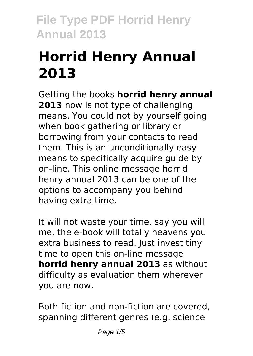# **Horrid Henry Annual 2013**

Getting the books **horrid henry annual 2013** now is not type of challenging means. You could not by yourself going when book gathering or library or borrowing from your contacts to read them. This is an unconditionally easy means to specifically acquire guide by on-line. This online message horrid henry annual 2013 can be one of the options to accompany you behind having extra time.

It will not waste your time. say you will me, the e-book will totally heavens you extra business to read. Just invest tiny time to open this on-line message **horrid henry annual 2013** as without difficulty as evaluation them wherever you are now.

Both fiction and non-fiction are covered, spanning different genres (e.g. science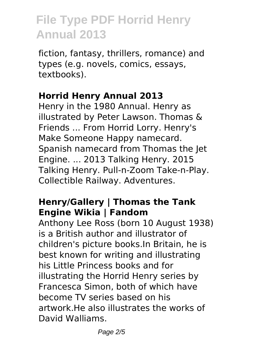fiction, fantasy, thrillers, romance) and types (e.g. novels, comics, essays, textbooks).

#### **Horrid Henry Annual 2013**

Henry in the 1980 Annual. Henry as illustrated by Peter Lawson. Thomas & Friends ... From Horrid Lorry. Henry's Make Someone Happy namecard. Spanish namecard from Thomas the Jet Engine. ... 2013 Talking Henry. 2015 Talking Henry. Pull-n-Zoom Take-n-Play. Collectible Railway. Adventures.

### **Henry/Gallery | Thomas the Tank Engine Wikia | Fandom**

Anthony Lee Ross (born 10 August 1938) is a British author and illustrator of children's picture books.In Britain, he is best known for writing and illustrating his Little Princess books and for illustrating the Horrid Henry series by Francesca Simon, both of which have become TV series based on his artwork.He also illustrates the works of David Walliams.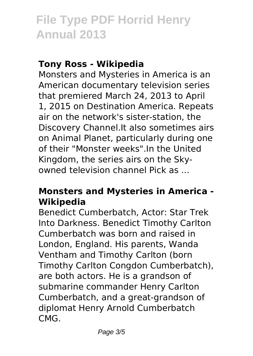#### **Tony Ross - Wikipedia**

Monsters and Mysteries in America is an American documentary television series that premiered March 24, 2013 to April 1, 2015 on Destination America. Repeats air on the network's sister-station, the Discovery Channel.It also sometimes airs on Animal Planet, particularly during one of their "Monster weeks".In the United Kingdom, the series airs on the Skyowned television channel Pick as ...

#### **Monsters and Mysteries in America - Wikipedia**

Benedict Cumberbatch, Actor: Star Trek Into Darkness. Benedict Timothy Carlton Cumberbatch was born and raised in London, England. His parents, Wanda Ventham and Timothy Carlton (born Timothy Carlton Congdon Cumberbatch), are both actors. He is a grandson of submarine commander Henry Carlton Cumberbatch, and a great-grandson of diplomat Henry Arnold Cumberbatch CMG.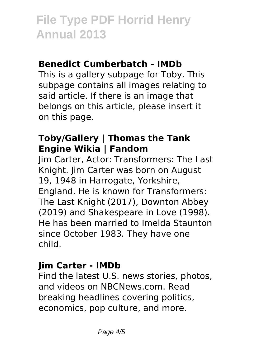#### **Benedict Cumberbatch - IMDb**

This is a gallery subpage for Toby. This subpage contains all images relating to said article. If there is an image that belongs on this article, please insert it on this page.

### **Toby/Gallery | Thomas the Tank Engine Wikia | Fandom**

Jim Carter, Actor: Transformers: The Last Knight. Jim Carter was born on August 19, 1948 in Harrogate, Yorkshire, England. He is known for Transformers: The Last Knight (2017), Downton Abbey (2019) and Shakespeare in Love (1998). He has been married to Imelda Staunton since October 1983. They have one child.

### **Jim Carter - IMDb**

Find the latest U.S. news stories, photos, and videos on NBCNews.com. Read breaking headlines covering politics, economics, pop culture, and more.